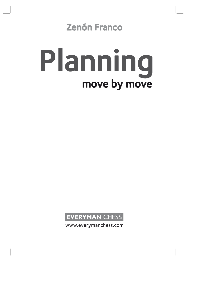# Zenón Franco

# move by move Planning



www.everymanchess.com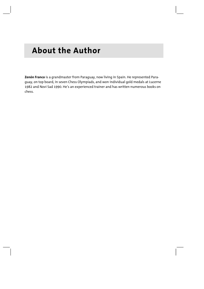# **About the Author**

**Zenón Franco** is a grandmaster from Paraguay, now living in Spain. He represented Paraguay, on top board, in seven Chess Olympiads, and won individual gold medals at Lucerne 1982 and Novi Sad 1990. He's an experienced trainer and has written numerous books on chess.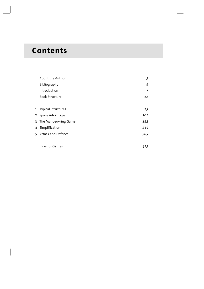# **Contents**

|              | About the Author      | 3              |
|--------------|-----------------------|----------------|
|              | Bibliography          | 5              |
|              | Introduction          | $\overline{7}$ |
|              | <b>Book Structure</b> | 12             |
|              |                       |                |
|              | 1 Typical Structures  | 13             |
|              | 2 Space Advantage     | 101            |
| $\mathbf{3}$ | The Manoeuvring Game  | 152            |
|              | 4 Simplification      | 235            |
|              | 5 Attack and Defence  | 305            |
|              |                       |                |
|              | Index of Games        | 413            |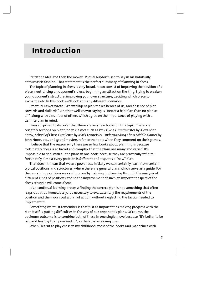# **Introduction**

 "First the idea and then the move!" Miguel Najdorf used to say in his habitually enthusiastic fashion. That statement is the perfect summary of planning in chess.

The topic of planning in chess is very broad. It can consist of improving the position of a piece, neutralising an opponent's piece, beginning an attack on the king, trying to weaken your opponent's structure, improving your own structure, deciding which piece to exchange etc. In this book we'll look at many different scenarios.

Emanuel Lasker wrote: "An intelligent plan makes heroes of us, and absence of plan cowards and dullards". Another well known saying is "Better a bad plan than no plan at all", along with a number of others which agree on the importance of playing with a definite plan in mind.

I was surprised to discover that there are very few books on this topic. There are certainly sections on planning in classics such as *Play Like a Grandmaster* by Alexander Kotov, *School of Chess Excellence* by Mark Dvoretsky, *Understanding Chess Middle Games* by John Nunn, etc., and grandmasters refer to the topic when they comment on their games.

I believe that the reason why there are so few books about planning is because fortunately chess is so broad and complex that the plans are many and varied. It's impossible to deal with all the plans in one book, because they are practically infinite; fortunately almost every position is different and requires a "new" plan.

That doesn't mean that we are powerless. Initially we can certainly learn from certain typical positions and structures, where there are general plans which serve as a guide. For the remaining positions we can improve by training in planning through the analysis of different kinds of positions and so the improvement of such an important aspect of the chess struggle will come about.

It's a continual learning process; finding the correct plan is not something that often leaps out at us immediately. It's necessary to evaluate fully the requirements of the position and then work out a plan of action, without neglecting the tactics needed to implement it.

Something we must remember is that just as important as making progress with the plan itself is putting difficulties in the way of our opponent's plans. Of course, the optimum outcome is to combine both of these in one single move because "It's better to be rich and healthy than poor and ill", as the Russian saying goes.

When I learnt to play chess in my childhood, most of the books and magazines with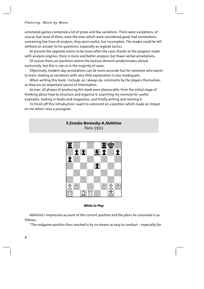#### *Planning: Move by Move*

annotated games contained a lot of prose and few variations. There were exceptions, of course, but most of them, even the ones which were considered good, had annotations containing few lines of analysis; they were useful, but incomplete. The reader could be left without an answer to his questions, especially as regards tactics.

At present the opposite seems to be more often the case; thanks to the progress made with analysis engines, there is more and better analysis, but fewer verbal annotations.

Of course there are positions where the tactical element predominates almost exclusively, but this is not so in the majority of cases.

Objectively, modern day annotations can be more accurate but for someone who wants to learn, looking at variations with very little explanation is also inadequate.

When writing this book, I include, as I always do, comments by the players themselves, as they are an important source of information.

As ever, all phases of producing this book were pleasurable, from the initial stage of thinking about how to structure and organise it, searching my memory for useful examples, looking in books and magazines, and finally writing and revising it.

To finish off this introduction I want to comment on a position which made an impact on me when I was a youngster.

# **E.Znosko-Borovsky-A.Alekhine**  Paris 1933



#### *White to Play*

Alekhine's impressive account of the current position and the plans he conceived is as follows:

"The endgame position thus reached is by no means as easy to conduct – especially for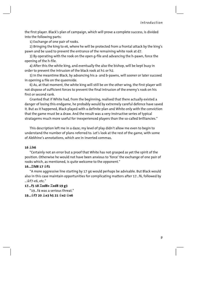the first player. Black's plan of campaign, which will prove a complete success, is divided into the following parts:

1) Exchange of one pair of rooks.

2) Bringing the king to e6, where he will be protected from a frontal attack by the king's pawn and be used to prevent the entrance of the remaining white rook at d7.

3) By operating with the rook on the open g-file and advancing the h-pawn, force the opening of the h-file.

4) After this the white king, and eventually the also the bishop, will be kept busy in order to prevent the intrusion of the black rook at h1 or h2.

5) In the meantime Black, by advancing his a- and b-pawns, will sooner or later succeed in opening a file on the queenside.

6) As, at that moment, the white king will still be on the other wing, the first player will not dispose of sufficient forces to prevent the final intrusion of the enemy's rook on his first or second rank.

Granted that if White had, from the beginning, realised that there actually existed a danger of losing this endgame, he probably would by extremely careful defence have saved it. But as it happened, Black played with a definite plan and White only with the conviction that the game must be a draw. And the result was a very instructive series of typical stratagems much more useful for inexperienced players than the so-called brilliancies."

This description left me in a daze; my level of play didn't allow me even to begin to understand the number of plans referred to. Let's look at the rest of the game, with some of Alekhine's annotations, which are in inverted commas.

#### **16 Íh6**

"Certainly not an error but a proof that White has not grasped as yet the spirit of the position. Otherwise he would not have been anxious to 'force' the exchange of one pair of rooks which, as mentioned, is quite welcome to the opponent."

#### **16...Îfd8 17 Êf1**

"A more aggressive line starting by 17 g4 would perhaps be advisable. But Black would also in this case maintain opportunities for complicating matters after 17...f6, followed by ...Êf7-e6, etc."

#### **17...f5 18 Îxd8+ Îxd8 19 g3**

"19...f4 was a serious threat." **19...Êf7 20 Íe3 h5 21 Êe2 Êe6**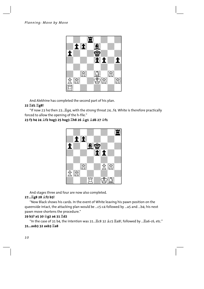

And Alekhine has completed the second part of his plan.

# 22 Id1 Ig8!

"If now 23 h4 then 23...Eq4, with the strong threat 24...f4. White is therefore practically forced to allow the opening of the h-file."

# 23 f3 h4 24 *食*f2 hxg3 25 hxg3 Ih8 26 gg1 gd6 27 gf1



And stages three and four are now also completed.

# 27... 堂g8 28 <sup>金</sup>f2 b5!

"Now Black shows his cards. In the event of White leaving his pawn position on the queenside intact, the attacking plan would be ...c5-c4 followed by ...a5 and ...b4; his next pawn move shortens the procedure."

# 29 b3? a5 30 宫g2 a4 31 骂d2

"In the case of 31 b4, the intention was 31... Lc8 32 2c5 La8!, followed by ... La6-c6, etc."  $31...axb332axb32ab3$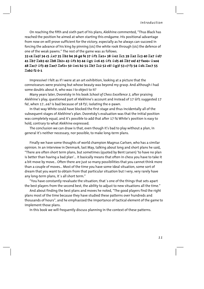On reaching the fifth and sixth part of his plans, Alekhine commented, "Thus Black has reached the position he aimed at when starting this endgame. His positional advantage from now on will prove sufficient for the victory, especially as he always can succeed in forcing the advance of his king by pinning (sic) the white rook through (sic) the defence of one of the weak pawns." The rest of the game was as follows.

# 33 c4  $\Xi$ a3! 34 c5  $\hat{\mathfrak{g}}$ e7 35  $\Xi$ b2 b4 36 g4 f4 37  $\hat{\mathfrak{g}}$ f1  $\Xi$ a1+ 38  $\hat{\mathfrak{g}}$ e2  $\Xi$ c1 39  $\Xi$ a2  $\Xi$ c3 40  $\Xi$ a7  $\hat{\mathfrak{g}}$ d7 41 ป็b7 ป็xb3 42 ป็b8 ป็b2+ 43 ទំf1 b3 44 ទំg1 ទំc6 45 ទំf1 ទំd5 46 ปีb7 e4! 47 fxe4+ ទំxe4 48 프xc7 샿f3 49 프xe7 프xf2+ 50 샿e1 b2 51 프b7 프c2 52 c6! 샿g3! 53 c7 f3 54 샿d1 프xc7 55 **Îxb2 f2 0-1**

Impressive! I felt as if I were at an art exhibition, looking at a picture that the connoisseurs were praising but whose beauty was beyond my grasp. And although I had some doubts about it, who was I to object to it?

Many years later, Dvoretsky in his book *School of Chess Excellence 3*, after praising Alekhine's play, questioned part of Alekhine's account and instead of 17  $\text{\textless{}f1}$  suggested 17 f4!, when 17...e4? is bad because of 18 f5!, isolating the e-pawn.

In that way White could have blocked the first stage and thus incidentally all of the subsequent stages of Alekhine's plan. Dvoretsky's evaluation was that the initial position was completely equal, and it's possible to add that after 17 f4 White's position is easy to hold, contrary to what Alekhine expressed.

The conclusion we can draw is that, even though it's bad to play without a plan, in general it's neither necessary, nor possible, to make long-term plans.

Finally we have some thoughts of world champion Magnus Carlsen, who has a similar opinion. In an interview in Denmark, last May, talking about long and short plans he said, "There are often short term plans, but sometimes (quoted by Bent Larsen) 'to have no plan is better than having a bad plan'… it basically means that often in chess you have to take it a bit move by move… Often there are just so many possibilities that you cannot think more than a couple of moves… Most of the time you have some ideal situation, some sort of dream that you want to obtain from that particular situation but I very, very rarely have any long-term plans, it´s all short term."

"You have constantly revaluate the situation; that´s one of the things that sets apart the best players from the second best, the ability to adjust to new situations all the time."

And about finding the best plans and moves he noted, "The good players find the right plans most of the time because they have studied these patterns over hundreds and thousands of hours", and he emphasized the importance of tactical element of the game to implement those plans.

In this book we will frequently discuss planning in the context of these patterns.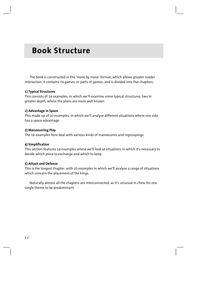# **Book Structure**

The book is constructed in the 'move by move' format, which allows greater reader interaction. It contains 74 games, or parts of games, and is divided into five chapters:

#### **1) Typical Structures**

This consists of 14 examples, in which we'll examine some typical structures, two in greater depth, where the plans are more well known.

#### **2) Advantage in Space**

This made up of 10 examples, in which we'll analyse different situations where one side has a space advantage.

#### **3) Manoeuvring Play**

The 16 examples here deal with various kinds of manoeuvres and regroupings.

#### **4) Simplification**

This section features 14 examples where we'll look at situations in which it's necessary to decide which piece to exchange and which to keep.

#### **5) Attack and Defence**

This is the longest chapter, with 20 examples in which we'll analyse a range of situations which concern the placement of the kings.

Naturally almost all the chapters are interconnected, as it's unusual in chess for one single theme to be predominant.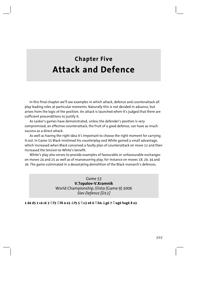# **Chapter Five Attack and Defence**

In this final chapter we'll see examples in which attack, defence and counterattack all play leading roles at particular moments. Naturally this is not decided in advance, but arises from the logic of the position. An attack is launched when it's judged that there are sufficient preconditions to justify it.

As Lasker's games have demonstrated, unless the defender's position is very compromised, an effective counterattack, the fruit of a good defence, can have as much success as a direct attack.

As well as having the right idea it's important to choose the right moment for carrying it out. In Game 55 Black mistimed his counterplay and White gained a small advantage, which increased when Black conceived a faulty plan of counterattack on move 12 and then increased the tension to White's benefit

White's play also serves to provide examples of favourable or unfavourable exchanges on moves 24 and 25 as well as of manoeuvring play, for instance on moves 18, 29, 34 and 36. The game culminated in a devastating demolition of the Black monarch's defences.

> Game 55 V.Topalov-V.Kramnik World Championship, Elista (Game 9) 2006 Slav Defence [D12]

1 d4 d5 2 c4 c6 3  $\hat{\mathbb{Z}}$ f3  $\hat{\mathbb{Z}}$ f6 4 e3  $\hat{\mathbb{Z}}$ f5 5  $\hat{\mathbb{Z}}$ c3 e6 6  $\hat{\mathbb{Z}}$ h4  $\hat{\mathbb{Z}}$ g6 7  $\hat{\mathbb{Z}}$ xg6 hxg6 8 a3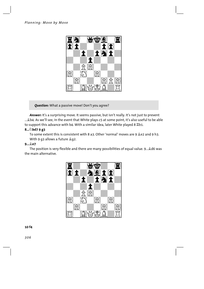

*Question:* What a passive move! Don't you agree?

*Answer:* It's a surprising move. It seems passive, but isn't really. It's not just to prevent .... the As we'll see, in the event that White plays c5 at some point, it's also useful to be able to support this advance with b4. With a similar idea, later White played 8  $\mathbb{Z}$ b1.

## **8...Ìbd7 9 g3**

To some extent this is consistent with 8 a3. Other 'normal' moves are 9  $2e$  and 9 h3. With 9 g3 allows a future  $2q2$ .

#### **9...Íe7**

The position is very flexible and there are many possibilities of equal value. 9... Ld6 was the main alternative.

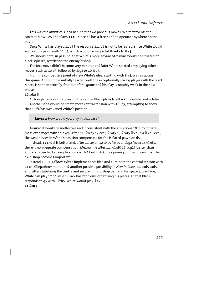This was the ambitious idea behind the two previous moves. White prevents the counter-blow ...e5 and plans 11 c5, since he has a free hand to operate anywhere on the board.

Once White has played 11 c5 the response 11...b6 is not to be feared, since White would support his pawn with 12 b4, which would be very solid thanks to 8 a3.

We should note, in passing, that White's more advanced-pawns would be situated on black squares, restricting the enemy bishop.

The text move didn't become very popular and later White started employing other moves, such as 10 b3, followed by  $Q$ <sup>2</sup> or 10  $Q$ <sup>2</sup>.

From the competitive point of view White's idea, starting with 8 a3, was a success in this game. Although he initially reacted well, the exceptionally strong player with the black pieces is soon practically shut out of the game and his play is notably weak in the next phase.

#### **10...dxc4!**

Although for now this gives up the centre, Black plans to attack the white centre later. Another idea would be create more central tension with 10...c5, attempting to show that 10 f4 has weakened White's position.

*Exercise:* How would you play in that case?

*Answer:* It would be ineffective and inconsistent with the ambitious 10 f4 to initiate mass exchanges with 11 dxc5. After 11... $\triangle$ xc5 12 cxd5  $\triangle$ xd5 13  $\triangle$ xd5  $\cong$ xd5 14  $\cong$ xd5 exd5, the weaknesses in White's position compensate for the isolated pawn on d5.

Instead, 11 cxd5! is better and, after 11...exd5 12 dxc5  $\triangle$ xc5 13  $\triangle$ q2  $\triangle$ ce4 14  $\triangle$ xd5, there is no adequate compensation. Meanwhile after 11... $\triangle$ xd5 12.  $\triangle q$ 2! (better than embarking on hectic complications with 12 e4 cxd4), the opening of lines means that the g2-bishop becomes important.

Instead 10...0-0 allows White implement his idea and eliminate the central tension with 11 c5. Cheparinov mentioned another possible possibility in *New in Chess*: 11 cxd5 cxd5, and, after stabilising the centre and secure in his bishop pair and his space advantage, White can play 12 g4, when Black has problems organising his pieces. Then if Black responds to g5 with ... $\triangle$ h5, White would play  $\triangle$ e2.

#### **11 Íxc4**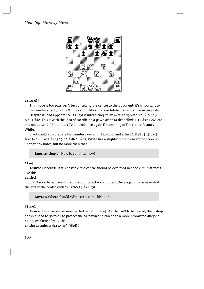

#### $11...0-0?$

This move is too passive. After conceding the centre to the opponent, it's important to quicly counterattack, before White can fortify and consolidate his central pawn majority.

Despite its bad appearance, 11...c5! is interesting, to answer 12 d5 with 12... (2) b6! 13. 奠b5+ 會f8. This is with the idea of sacrificing a pawn after 14 dxe6 豐xd1+ 15 拿xd1 c4!, etc. but not 12...exd5?! due to 13  $\&$ xd5, and once again the opening of the centre favours White.

Black could also prepare his counterblow with 11... Db6! and after 12 & e2 c5 13 dxc5 彎xd1+ 14 公xd1 拿xc5 15 b4 으d6 16 公f2, White has a slightly more pleasant position, as Cheparinov notes, but no more than that.

Exercise (simple): How to continue now?

#### 12 e4

Answer: Of course. If it's possible, the centre should be occupied in good circumstances like this.

#### $12...b5?!$

It will soon be apparent that this counterattack isn't best. Once again it was essential the attack the centre with 12.  $\Diamond$  b6 13  $\Diamond$  e2 c5!

**Exercise:** Where should White retreat the bishop?

#### $13 \text{ } \overset{\circ}{\mathcal{E}}$  e2

Answer: Here we see an unexpected benefit of 8 a3. As ...b4 isn't to be feared, the bishop doesn't need to go to d3 to protect the e4-pawn and can go to a more promising diagonal, h1-a8, weakened by 12...b5.

#### 13...b4 14 axb4 **盒xb4 15 盒f3 響b6?!**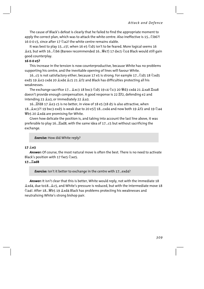The cause of Black's defeat is clearly that he failed to find the appropriate moment to apply the correct plan, which was to attack the white centre. Also ineffective is 15... 2b6?! 16 0-0 c5, since after 17 @a2! the white centre remains stable.

It was best to play 15...c5!, when 16 e5 @d5 isn't to be feared. More logical seems 16 鱼e3, but with 16...公b6 (Bareev recommended 16...曾e7) 17 dxc5 公c4 Black would still gain good counterplay.

#### 16 0-0 e5?

This increase in the tension is now counterproductive, because White has no problems supporting his centre, and the inevitable opening of lines will favour White.

16…c5 is not satisfactory either, because 17 e5 is strong. For eample 17…②d5 18 ②xd5 exd5 19 e3 cxd4 20 exd4 ec5 21 ef2 and Black has difficulties protecting all his weaknesses

The exchange sacrifice 17... 으xc3 18 bxc3 乞d5 19 c4 乞c3 20 빨d3 cxd4 21 으xa8 骂xa8 doesn't provide enough compensation. A good response is 22  $E$ f2, defending e2 and intending 23 2a3, or immediately 22 2a3.

16.... fd8 17 鱼e3 c5 is no better, in view of 18 e5 (18 d5 is also attractive, when 18... 2xc3?! 19 bxc3 exd5 is weak due to 20 e5!) 18... cxd4 and now both 19 2f2 and 19 2a4 響b5 20  $\angle$ xd4 are promising for White.

Given how delicate the position is, and taking into account the last line above, it was preferable to play 16... Lad8, with the same idea of 17...c5 but without sacrificing the exchange.

**Exercise:** How did White reply?

#### 17 **Le3**

**Answer:** Of course, the most natural move is often the best. There is no need to activate Black's position with 17 fxe5 2xe5.

#### 17... **Ead8**

**Exercise:** Isn't it better to exchange in the centre with 17...exd4?

Answer: It isn't clear that this is better, White would reply, not with the immediate 18 2xd4, due to18... 2c5, and White's pressure is reduced, but with the intermediate move 18 ②a4!. After 18... 彎b5 19  $\triangle$ xd4 Black has problems protecting his weaknesses and neutralising White's strong bishop pair.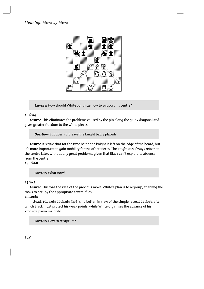

*Exercise:* How should White continue now to support his centre?

#### $18 \n\hat{\odot}$ **a4**

*Answer:* This eliminates the problems caused by the pin along the g1-a7 diagonal and gives greater freedom to the white pieces.

*Question:* But doesn't it leave the knight badly placed?

*Answer:* It's true that for the time being the knight is left on the edge of the board, but it's more important to gain mobility for the other pieces. The knight can always return to the centre later, without any great problems, given that Black can't exploit its absence from the centre.

#### **18...Ëb8**

#### *Exercise:* What now?

#### **19 Ëc2**

*Answer:* This was the idea of the previous move. White's plan is to regroup, enabling the rooks to occupy the appropriate central files.

#### **19...exf4**

Instead, 19...exd4 20  $\&$ xd4  $\&$ b6 is no better, in view of the simple retreat 21  $\&$ e3, after which Black must protect his weak points, while White organises the advance of his kingside pawn majority.

*Exercise:* How to recapture?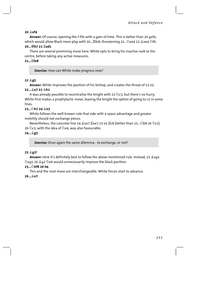#### 20 盒xf4

Answer: Of course, opening the f-file with a gain of time. This is better than 20 gxf4, which would allow Black more play with 20... Life8, threatening 21... 2xe4 22 拿xe4 公f6.

#### 20... *Wb* 7 21  $\Xi$ ad1

There are several promising move here. White opts to bring his inactive rook to the centre, before taking any active measures.

#### 21... *Le8*

**Exercise:** How can White make progress now?

#### 22 <sup>金</sup>g5

Answer: White improves the position of his bishop, and creates the threat of 23 e5. 22... e7 23 gh1

It was already possible to recentralise the knight with 23 公c3, but there's no hurry. White first makes a prophylactic move, leaving the knight the option of going to c5 in some lines.

### 23... 2h7 24 ge3

White follows the well-known rule that side with a space advantage and greater mobility should not exchange pieces.

Nevertheless, the concrete line 24 횿xe7 ూxe7 25 e5 ٣c8 (better than 25... 신b8 26 신c5) 26  $26$  c3, with the idea of  $2e4$ , was also favourable.

#### 24... g5

**Exercise:** Once again the same dilemma - to exchange, or not?

#### 25 <sup>2</sup>g1!

Answer: Here it's definitely best to follow the above-mentioned rule. Instead, 25 \$xq5 ©xq5 26 20 ©e6 would unnecessarily improve the black position.

#### 25... hf8 26 h4

This and the next move are interchangeable. White forces start to advance.

#### 26…**o**e7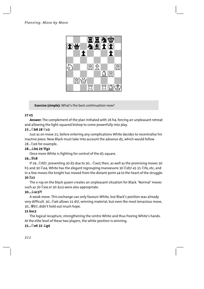

**Exercise (simple):** What's the best continuation now?

# 27 e5

Answer: The complement of the plan initiated with 26 h4, forcing an unpleasant retreat and allowing the light-squared bishop to come powerfully into play.

### 27... 2b8 28 2c3

Just as on move 21, before entering any complications White decides to recentralise his inactive piece. Now Black must take into account the advance d5, which would follow 28... De6 for example.

# 28... h4 29 曾g2

Once more White is fighting for control of the d5-square.

# $29...$   $68$

If 29...  $\triangle$ fd7, preventing 30 d5 due to 30...  $\triangle$ xe5 then, as well as the promising moves 30 h5 and 30 @e4, White has the elegant regrouping manoeuvre 30 @d5! a5 31 @f4, etc, and in a few moves the knight has moved from the distant point a4 to the heart of the struggle. 30 耳c1

The x-ray on the black queen creates an unpleasant situation for Black. 'Normal' moves such as 30 @e4 or 30 &e3 were also appropriate.

#### 30... xc3?!

A weak move. This exchange can only favours White, but Black's position was already very difficult. 30... De6 allows 31 d5!, winning material, but even the most tenacious move, 30... Wb7, didn't hold out much hope.

# $31$  bxc3

The logical recapture, strengthening the centre White and thus freeing White's hands. At the elite level of these two players, the white position is winning.

# 31... De6 32 2g4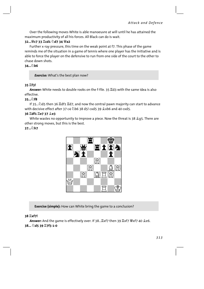Over the following moves White is able manoeuvre at will until he has attained the maximum productivity of all his forces. All Black can do is wait.

# 32... We7 33 Icd1 2d7 34 Wa2

Further x-ray pressure, this time on the weak point at f7. This phase of the game reminds me of the situation in a game of tennis where one player has the initiative and is able to force the player on the defensive to run from one side of the court to the other to chase down shots.

## $34.7h6$

**Exercise:** What's the best plan now?

## 35 耳f3!

Answer: White needs to double rooks on the f-file. 35  $\mathbb{Z}$ d3 with the same idea is also effective

#### $35.7$

If 35... \d{2} then 36 \d{1}{2} d}, and now the central pawn majority can start to advance with decisive effect after 37 c4 2b6 38 d5! cxd5 39 2xb6 and 40 cxd5.

## 36 耳df1 耳e7 37 鼻e3

White wastes no opportunity to improve a piece. Now the threat is 38 \$ 95. There are other strong moves, but this is the best.

### $37.5$ h7



**Exercise (simple):** How can White bring the game to a conclusion?

#### 38 Ixf7!

Answer: And the game is effectively over. If 38... Exf7 then 39 Exf7 Wexf7 40 & e6. 38... 2d5 39 骂7f3 1-0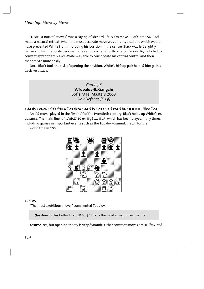"Distrust natural moves" was a saying of Richard Réti's. On move 13 of Game 56 Black made a natural retreat, when the most accurate move was an untypical one which would have prevented White from improving his position in the centre. Black was left slightly worse and his inferiority became more serious when shortly after, on move 16, he failed to counter appropriately and White was able to consolidate his central control and then manoeuvre more easily.

Once Black took the risk of opening the position, White's bishop pair helped him gain a decisive attack.

> *Game 56*  **V.Topalov-B.Xiangzhi**  Sofia MTel Masters 2008 *Slav Defence [D19]*

#### **1 d4 d5 2 c4 c6 3 Ìf3 Ìf6 4 Ìc3 dxc4 5 a4 Íf5 6 e3 e6 7 Íxc4 Íb4 8 0-0 0-0 9 Ëe2 Ìe4**

An old move, played in the first half of the twentieth century. Black holds up White's e4 advance. The main line is 9... $\triangle$ bd7 10 e4  $\triangleq$ g6 11  $\triangleq$ d3, which has been played many times, including games in important events such as the Topalov-Kramnik match for the world title in 2006.



#### **10 Ìe5**

"The most ambitious move," commented Topalov.

**Question:** Is this better than 10  $\triangle$ d3? That's the most usual move, isn't it?

Answer: Yes, but opening theory is very dynamic. Other common moves are 10 @a2 and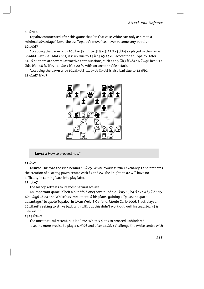10 Дхе4.

Topalov commented after this game that "in that case White can only aspire to a minimal advantage" Nevertheless Topalov's move has never become very popular. 10…2d7

Accepting the pawn with 10...公xc3?! 11 bxc3  $\&xc3$  12  $\&a3$   $\&b4$  as played in the game B.Sahl-E.Parr, Gausdal 2001, is risky due to 13 Lb3 a5 14 e4, according to Topalov. After 14... 46 there are several attractive continuations, such as 15  $\Xi$ h3 Wxd4 16 2xq6 hxq6 17 

Accepting the pawn with 10... \$xc3?! 11 bxc3 \&xc3? is also bad due to 12 \bedden{B2. 11 公xd7 曾xd7



**Exercise:** How to proceed now?

# $12 \n\hat{Q}$ a2

Answer: This was the idea behind 10 @e5. White avoids further exchanges and prepares the creation of a strong pawn centre with f3 and e4. The knight on a2 will have no difficulty in coming back into play later.

#### 12…**oP**7

The bishop retreats to its most natural square.

An important game (albeit a blindfold one) continued 12... 25 5 13 b4 2c7 14 f3 2d6 15 the geogle and White has implemented his plans, gaining a "pleasant space advantage," to quote Topalov. In L.Van Wely-B.Gelfand, Monte Carlo 2006, Black played 16. Eae8, seeking to strike back with ...f5, but this didn't work out well. Instead 16. a5 is interesting.

# 13 f3 2f6?!

The most natural retreat, but it allows White's plans to proceed unhindered. It seems more precise to play 13... 46 and after 14 \$b3 challenge the white centre with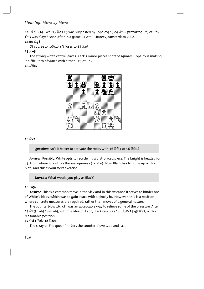14... $@$ q6 (14... $@$ f6 15  $\mathbb{Z}$ d1 e5 was suggested by Topalov) 15 e4  $@$ h8, preparing ...f5 or ...f6. This was played soon after in a game E.L'Ami-E.Bareev, Amsterdam 2008.

# **14 e4 Íg6**

Of course  $14...$   $42 \times 44+$ ? loses to  $15 \&e3$ .

# **15 Íe3**

The strong white centre leaves Black's minor pieces short of squares. Topalov is making it difficult to advance with either ...e5 or ...c5.

# **15...Ëc7**



# $16 \text{ } \odot \text{ } c1$

**Question:** Isn't it better to activate the rooks with 16 *Kfd1* or 16 *Kfc1*?

*Answer:* Possibly. White opts to recycle his worst-placed piece. The knight is headed for d3, from where it controls the key squares c5 and e5. Now Black has to come up with a plan, and this is your next exercise.

*Exercise:* What would you play as Black?

#### **16...a5?**

*Answer:* This is a common move in the Slav and in this instance it serves to hinder one of White's ideas, which was to gain space with a timely b4. However, this is a position where concrete measures are required, rather than moves of a general nature.

The counterblow 16...c5! was an acceptable way to relieve some of the pressure. After 17 公b3 cxd4 18 公xd4, with the idea of  $\Xi$ ac1, Black can play 18... $\triangleleft$ d6 19 g3  $\overset{\omega}{\mathcal{C}}$ e7, with a reasonable position.

# **17 Ìd3 Ìd7 18 Îac1**

The x-ray on the queen hinders the counter-blows ...e5 and ...c5.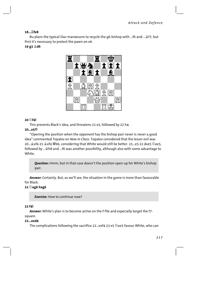#### 18... Life8

Bu plans the typical Slav manoeuvre to recycle the q6-bishop with ...f6 and ... £f7, but first it's necessary to protect the pawn on e6.

#### 19 g3 *L*d6



#### $20 \text{ m/s}$

This prevents Black's idea, and threatens 21 e5, followed by 22 h4.

#### 20...e5?!

"Opening the position when the opponent has the bishop pair never is never a good idea" commented Topalov en New in Chess. Topalov considered that the lesser evil was 20... & xf4 21 & xf4 \bdots, considering that White would still be better. 21...e5 22 dxe5  $\Diamond$ xe5, followed by ... \had and ... f6 was another possibility, although also with some advantage to White.

**Ouestion:** Hmm, but in that case doesn't the position open up for White's bishop pair.

Answer: Certainly. But, as we'll see, the situation in the game is more than favourable for Black.

#### 21 2xg6 hxg6

**Exercise:** How to continue now?

#### $22 f<sub>A</sub>$ !

Answer: White's plan is to become active on the f-file and especially target the f7square.

#### 22...exd4

The complications following the sacrifice 22...exf4 23 e5 2xe5 favour White, who can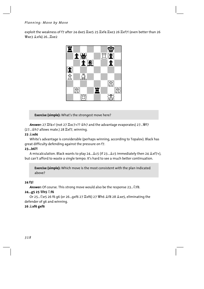exploit the weakness of f7 after 24 dxe5  $\mathbb{Z}$ xe5 25  $\mathbb{Z}$ xf4  $\mathbb{Z}$ xe3 26  $\mathbb{Z}$ xf7! (even better than 26 *s*xe3  $\&$ xf4) 26...  $\&$ xe2



**Exercise (simple):** What's the strongest move here?

**Answer:** 27  $\Sigma$ f4+! (not 27  $\Sigma$ xc7+??  $\circledA$ h7 and the advantage evaporates) 27... *S*f7 (27...Êh7 allows mate.) 28 Îxf7, winning.

#### **23 Íxd4**

White's advantage is considerable (perhaps winning, according to Topalov). Black has great difficulty defending against the pressure on f7.

# **23...b6?!**

A miscalculation. Black wants to play 24... $\&c$ 5 (if 23... $\&c$ 5 immediately then 24  $\&x$ f7+), but can't afford to waste a single tempo. It's hard to see a much better continuation.

**Exercise (simple):** Which move is the most consistent with the plan indicated above?

#### **24 f5!**

**Answer:** Of course. This strong move would also be the response 23... $\triangle$ f8.

# **24...g5 25 Ëh5 Ìf6**

Or 25... De5 26 f6 g6 (or 26...gxf6 27  $\cong$ xf6) 27  $\cong$  h6  $\triangle$ f8 28  $\triangle$ xe5, eliminating the defender of g6 and winning.

# **26 Íxf6 gxf6**